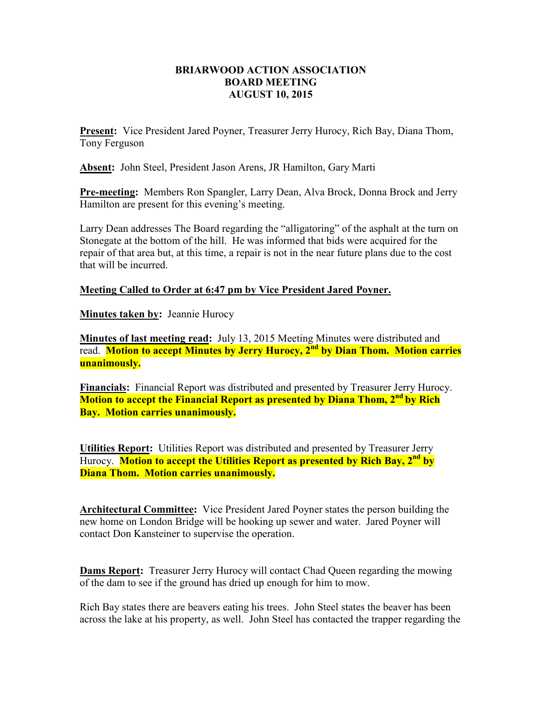## **BRIARWOOD ACTION ASSOCIATION BOARD MEETING AUGUST 10, 2015**

**Present:** Vice President Jared Poyner, Treasurer Jerry Hurocy, Rich Bay, Diana Thom, Tony Ferguson

**Absent:** John Steel, President Jason Arens, JR Hamilton, Gary Marti

**Pre-meeting:** Members Ron Spangler, Larry Dean, Alva Brock, Donna Brock and Jerry Hamilton are present for this evening's meeting.

Larry Dean addresses The Board regarding the "alligatoring" of the asphalt at the turn on Stonegate at the bottom of the hill. He was informed that bids were acquired for the repair of that area but, at this time, a repair is not in the near future plans due to the cost that will be incurred.

## **Meeting Called to Order at 6:47 pm by Vice President Jared Poyner.**

**Minutes taken by:** Jeannie Hurocy

**Minutes of last meeting read:** July 13, 2015 Meeting Minutes were distributed and read. **Motion to accept Minutes by Jerry Hurocy, 2nd by Dian Thom. Motion carries unanimously.** 

**Financials:** Financial Report was distributed and presented by Treasurer Jerry Hurocy. **Motion to accept the Financial Report as presented by Diana Thom, 2nd by Rich Bay. Motion carries unanimously.** 

**Utilities Report:** Utilities Report was distributed and presented by Treasurer Jerry Hurocy. **Motion to accept the Utilities Report as presented by Rich Bay, 2nd by Diana Thom. Motion carries unanimously.** 

**Architectural Committee:** Vice President Jared Poyner states the person building the new home on London Bridge will be hooking up sewer and water. Jared Poyner will contact Don Kansteiner to supervise the operation.

**Dams Report:** Treasurer Jerry Hurocy will contact Chad Queen regarding the mowing of the dam to see if the ground has dried up enough for him to mow.

Rich Bay states there are beavers eating his trees. John Steel states the beaver has been across the lake at his property, as well. John Steel has contacted the trapper regarding the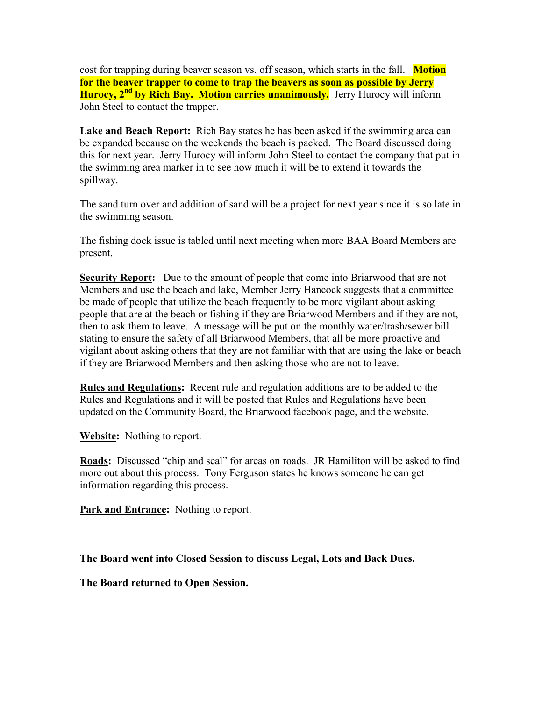cost for trapping during beaver season vs. off season, which starts in the fall. **Motion for the beaver trapper to come to trap the beavers as soon as possible by Jerry Hurocy, 2nd by Rich Bay. Motion carries unanimously.** Jerry Hurocy will inform John Steel to contact the trapper.

**Lake and Beach Report:** Rich Bay states he has been asked if the swimming area can be expanded because on the weekends the beach is packed. The Board discussed doing this for next year. Jerry Hurocy will inform John Steel to contact the company that put in the swimming area marker in to see how much it will be to extend it towards the spillway.

The sand turn over and addition of sand will be a project for next year since it is so late in the swimming season.

The fishing dock issue is tabled until next meeting when more BAA Board Members are present.

**Security Report:** Due to the amount of people that come into Briarwood that are not Members and use the beach and lake, Member Jerry Hancock suggests that a committee be made of people that utilize the beach frequently to be more vigilant about asking people that are at the beach or fishing if they are Briarwood Members and if they are not, then to ask them to leave. A message will be put on the monthly water/trash/sewer bill stating to ensure the safety of all Briarwood Members, that all be more proactive and vigilant about asking others that they are not familiar with that are using the lake or beach if they are Briarwood Members and then asking those who are not to leave.

**Rules and Regulations:** Recent rule and regulation additions are to be added to the Rules and Regulations and it will be posted that Rules and Regulations have been updated on the Community Board, the Briarwood facebook page, and the website.

**Website:** Nothing to report.

**Roads:** Discussed "chip and seal" for areas on roads. JR Hamiliton will be asked to find more out about this process. Tony Ferguson states he knows someone he can get information regarding this process.

**Park and Entrance:** Nothing to report.

**The Board went into Closed Session to discuss Legal, Lots and Back Dues.** 

**The Board returned to Open Session.**